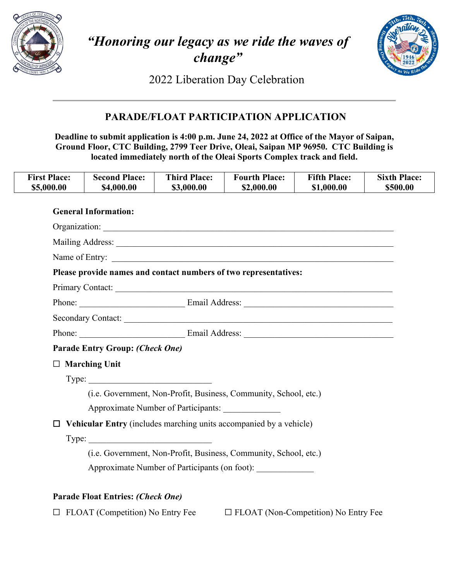

# *"Honoring our legacy as we ride the waves of change"*



2022 Liberation Day Celebration

# **PARADE/FLOAT PARTICIPATION APPLICATION**

**Deadline to submit application is 4:00 p.m. June 24, 2022 at Office of the Mayor of Saipan, Ground Floor, CTC Building, 2799 Teer Drive, Oleai, Saipan MP 96950. CTC Building is located immediately north of the Oleai Sports Complex track and field.** 

| <b>First Place:</b><br>\$5,000.00 | <b>Second Place:</b><br>\$4,000.00                               | <b>Third Place:</b><br>\$3,000.00 | <b>Fourth Place:</b><br>\$2,000.00                               | <b>Fifth Place:</b><br>\$1,000.00 | <b>Sixth Place:</b><br>\$500.00 |  |  |  |
|-----------------------------------|------------------------------------------------------------------|-----------------------------------|------------------------------------------------------------------|-----------------------------------|---------------------------------|--|--|--|
|                                   | <b>General Information:</b>                                      |                                   |                                                                  |                                   |                                 |  |  |  |
|                                   |                                                                  |                                   |                                                                  |                                   |                                 |  |  |  |
|                                   |                                                                  |                                   |                                                                  |                                   |                                 |  |  |  |
|                                   | Name of Entry:                                                   |                                   |                                                                  |                                   |                                 |  |  |  |
|                                   | Please provide names and contact numbers of two representatives: |                                   |                                                                  |                                   |                                 |  |  |  |
|                                   | Primary Contact:                                                 |                                   |                                                                  |                                   |                                 |  |  |  |
|                                   |                                                                  |                                   |                                                                  |                                   |                                 |  |  |  |
|                                   |                                                                  |                                   |                                                                  |                                   |                                 |  |  |  |
|                                   |                                                                  |                                   |                                                                  |                                   |                                 |  |  |  |
|                                   | <b>Parade Entry Group: (Check One)</b>                           |                                   |                                                                  |                                   |                                 |  |  |  |
|                                   | $\Box$ Marching Unit                                             |                                   |                                                                  |                                   |                                 |  |  |  |
|                                   | Type:                                                            |                                   |                                                                  |                                   |                                 |  |  |  |
|                                   |                                                                  |                                   | (i.e. Government, Non-Profit, Business, Community, School, etc.) |                                   |                                 |  |  |  |
|                                   | Approximate Number of Participants:                              |                                   |                                                                  |                                   |                                 |  |  |  |

 $Type:$ 

 (i.e. Government, Non-Profit, Business, Community, School, etc.) Approximate Number of Participants (on foot): \_\_\_\_\_\_\_\_\_\_\_\_\_\_\_\_\_\_\_\_\_\_\_\_\_\_\_\_\_\_\_\_\_\_\_

## **Parade Float Entries:** *(Check One)*

☐ FLOAT (Competition) No Entry Fee ☐ FLOAT (Non-Competition) No Entry Fee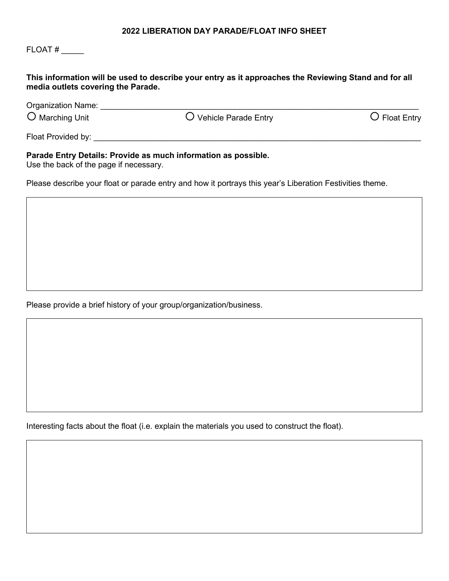#### **2022 LIBERATION DAY PARADE/FLOAT INFO SHEET**

## FLOAT # \_\_\_\_\_

#### **This information will be used to describe your entry as it approaches the Reviewing Stand and for all media outlets covering the Parade.**

| <b>Organization Name:</b> |                        |                        |
|---------------------------|------------------------|------------------------|
| $\bigcirc$ Marching Unit  | O Vehicle Parade Entry | $\bigcirc$ Float Entry |
| Float Provided by:        |                        |                        |

#### **Parade Entry Details: Provide as much information as possible.**

Use the back of the page if necessary.

Please describe your float or parade entry and how it portrays this year's Liberation Festivities theme.

Please provide a brief history of your group/organization/business.

Interesting facts about the float (i.e. explain the materials you used to construct the float).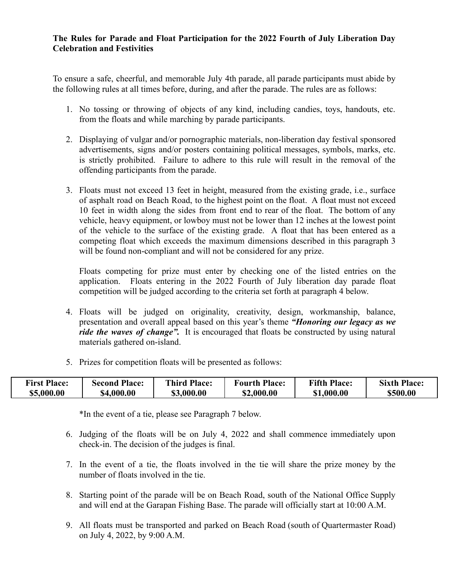### **The Rules for Parade and Float Participation for the 2022 Fourth of July Liberation Day Celebration and Festivities**

To ensure a safe, cheerful, and memorable July 4th parade, all parade participants must abide by the following rules at all times before, during, and after the parade. The rules are as follows:

- 1. No tossing or throwing of objects of any kind, including candies, toys, handouts, etc. from the floats and while marching by parade participants.
- 2. Displaying of vulgar and/or pornographic materials, non-liberation day festival sponsored advertisements, signs and/or posters containing political messages, symbols, marks, etc. is strictly prohibited. Failure to adhere to this rule will result in the removal of the offending participants from the parade.
- 3. Floats must not exceed 13 feet in height, measured from the existing grade, i.e., surface of asphalt road on Beach Road, to the highest point on the float. A float must not exceed 10 feet in width along the sides from front end to rear of the float. The bottom of any vehicle, heavy equipment, or lowboy must not be lower than 12 inches at the lowest point of the vehicle to the surface of the existing grade. A float that has been entered as a competing float which exceeds the maximum dimensions described in this paragraph 3 will be found non-compliant and will not be considered for any prize.

Floats competing for prize must enter by checking one of the listed entries on the application. Floats entering in the 2022 Fourth of July liberation day parade float competition will be judged according to the criteria set forth at paragraph 4 below.

- 4. Floats will be judged on originality, creativity, design, workmanship, balance, presentation and overall appeal based on this year's theme *"Honoring our legacy as we ride the waves of change".* It is encouraged that floats be constructed by using natural materials gathered on-island.
- 5. Prizes for competition floats will be presented as follows:

| <b>First Place:</b> | <b>Second Place:</b> | <b>Third Place:</b> | <b>Fourth Place:</b> | <b>Fifth Place:</b> | <b>Sixth Place:</b> |
|---------------------|----------------------|---------------------|----------------------|---------------------|---------------------|
| \$5,000.00          | \$4,000.00           | \$3,000.00          | 52,000.00            | \$1,000.00          | \$500.00            |

\*In the event of a tie, please see Paragraph 7 below.

- 6. Judging of the floats will be on July 4, 2022 and shall commence immediately upon check-in. The decision of the judges is final.
- 7. In the event of a tie, the floats involved in the tie will share the prize money by the number of floats involved in the tie.
- 8. Starting point of the parade will be on Beach Road, south of the National Office Supply and will end at the Garapan Fishing Base. The parade will officially start at 10:00 A.M.
- 9. All floats must be transported and parked on Beach Road (south of Quartermaster Road) on July 4, 2022, by 9:00 A.M.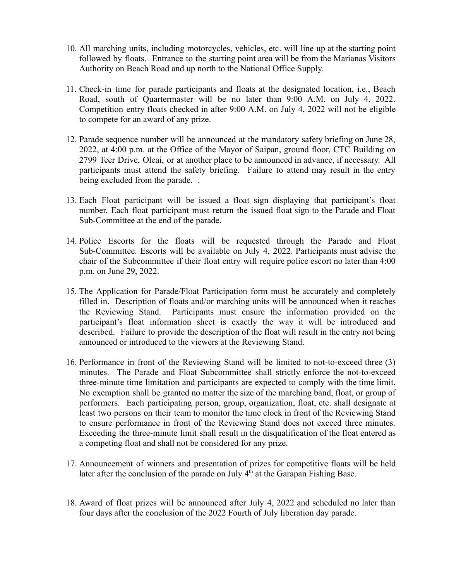- 10. All marching units, including motorcycles, vehicles, etc. will line up at the starting point followed by floats. Entrance to the starting point area will be from the Marianas Visitors Authority on Beach Road and up north to the National Office Supply.
- 11. Check-in time for parade participants and floats at the designated location, i.e., Beach Road, south of Quartermaster will be no later than 9:00 A.M. on July 4, 2022. Competition entry floats checked in after 9:00 A.M. on July 4, 2022 will not be eligible to compete for an award of any prize.
- 12. Parade sequence number will be announced at the mandatory safety briefing on June 28, 2022, at 4:00 p.m. at the Office of the Mayor of Saipan, ground floor, CTC Building on 2799 Teer Drive, Oleai, or at another place to be announced in advance, if necessary. All participants must attend the safety briefing. Failure to attend may result in the entry being excluded from the parade. .
- 13. Each Float participant will be issued a float sign displaying that participant's float number. Each float participant must return the issued float sign to the Parade and Float Sub-Committee at the end of the parade.
- 14. Police Escorts for the floats will be requested through the Parade and Float Sub-Committee. Escorts will be available on July 4, 2022. Participants must advise the chair of the Subcommittee if their float entry will require police escort no later than 4:00 p.m. on June 29, 2022.
- 15. The Application for Parade/Float Participation form must be accurately and completely filled in. Description of floats and/or marching units will be announced when it reaches the Reviewing Stand. Participants must ensure the information provided on the participant's float information sheet is exactly the way it will be introduced and described. Failure to provide the description of the float will result in the entry not being announced or introduced to the viewers at the Reviewing Stand.
- 16. Performance in front of the Reviewing Stand will be limited to not-to-exceed three (3) minutes. The Parade and Float Subcommittee shall strictly enforce the not-to-exceed three-minute time limitation and participants are expected to comply with the time limit. No exemption shall be granted no matter the size of the marching band, float, or group of performers. Each participating person, group, organization, float, etc. shall designate at least two persons on their team to monitor the time clock in front of the Reviewing Stand to ensure performance in front of the Reviewing Stand does not exceed three minutes. Exceeding the three-minute limit shall result in the disqualification of the float entered as a competing float and shall not be considered for any prize.
- 17. Announcement of winners and presentation of prizes for competitive floats will be held later after the conclusion of the parade on July  $4<sup>th</sup>$  at the Garapan Fishing Base.
- 18. Award of float prizes will be announced after July 4, 2022 and scheduled no later than four days after the conclusion of the 2022 Fourth of July liberation day parade.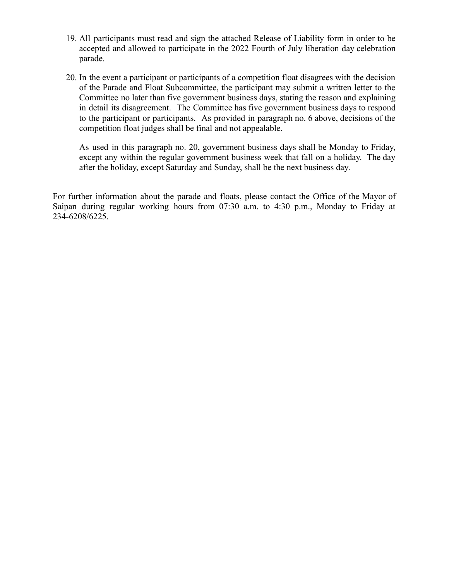- 19. All participants must read and sign the attached Release of Liability form in order to be accepted and allowed to participate in the 2022 Fourth of July liberation day celebration parade.
- 20. In the event a participant or participants of a competition float disagrees with the decision of the Parade and Float Subcommittee, the participant may submit a written letter to the Committee no later than five government business days, stating the reason and explaining in detail its disagreement. The Committee has five government business days to respond to the participant or participants. As provided in paragraph no. 6 above, decisions of the competition float judges shall be final and not appealable.

As used in this paragraph no. 20, government business days shall be Monday to Friday, except any within the regular government business week that fall on a holiday. The day after the holiday, except Saturday and Sunday, shall be the next business day.

For further information about the parade and floats, please contact the Office of the Mayor of Saipan during regular working hours from 07:30 a.m. to 4:30 p.m., Monday to Friday at 234-6208/6225.